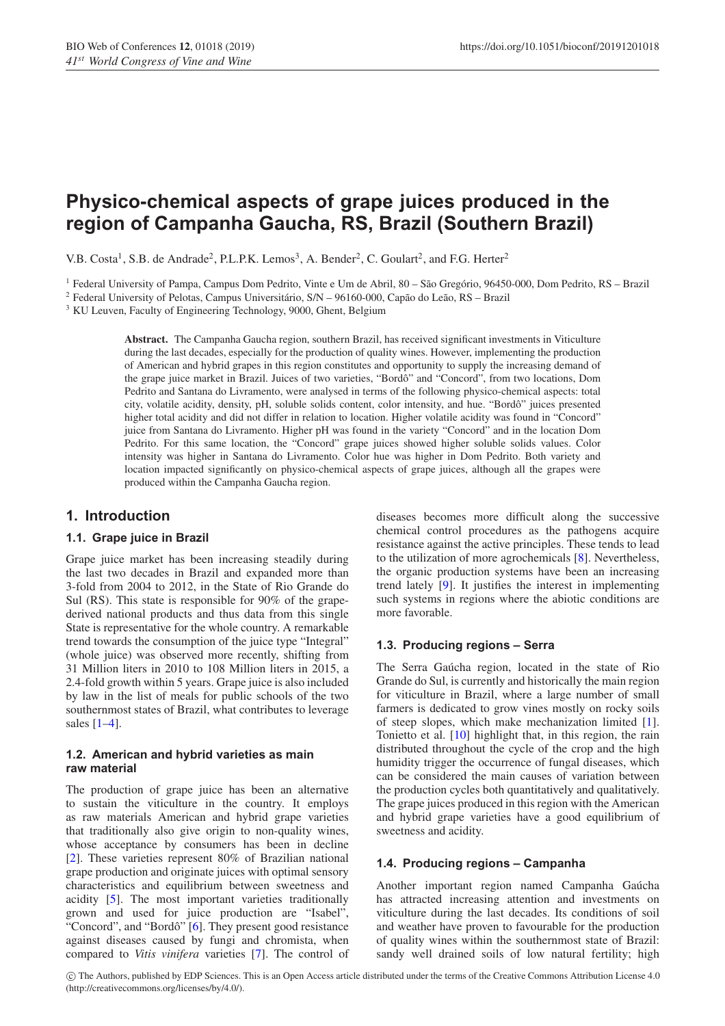# **Physico-chemical aspects of grape juices produced in the region of Campanha Gaucha, RS, Brazil (Southern Brazil)**

V.B. Costa<sup>1</sup>, S.B. de Andrade<sup>2</sup>, P.L.P.K. Lemos<sup>3</sup>, A. Bender<sup>2</sup>, C. Goulart<sup>2</sup>, and F.G. Herter<sup>2</sup>

<sup>1</sup> Federal University of Pampa, Campus Dom Pedrito, Vinte e Um de Abril, 80 – São Gregório, 96450-000, Dom Pedrito, RS – Brazil

<sup>2</sup> Federal University of Pelotas, Campus Universitário, S/N – 96160-000, Capão do Leão, RS – Brazil

<sup>3</sup> KU Leuven, Faculty of Engineering Technology, 9000, Ghent, Belgium

**Abstract.** The Campanha Gaucha region, southern Brazil, has received significant investments in Viticulture during the last decades, especially for the production of quality wines. However, implementing the production of American and hybrid grapes in this region constitutes and opportunity to supply the increasing demand of the grape juice market in Brazil. Juices of two varieties, "Bordô" and "Concord", from two locations, Dom Pedrito and Santana do Livramento, were analysed in terms of the following physico-chemical aspects: total city, volatile acidity, density, pH, soluble solids content, color intensity, and hue. "Bordô" juices presented higher total acidity and did not differ in relation to location. Higher volatile acidity was found in "Concord" juice from Santana do Livramento. Higher pH was found in the variety "Concord" and in the location Dom Pedrito. For this same location, the "Concord" grape juices showed higher soluble solids values. Color intensity was higher in Santana do Livramento. Color hue was higher in Dom Pedrito. Both variety and location impacted significantly on physico-chemical aspects of grape juices, although all the grapes were produced within the Campanha Gaucha region.

## **1. Introduction**

#### **1.1. Grape juice in Brazil**

Grape juice market has been increasing steadily during the last two decades in Brazil and expanded more than 3-fold from 2004 to 2012, in the State of Rio Grande do Sul (RS). This state is responsible for 90% of the grapederived national products and thus data from this single State is representative for the whole country. A remarkable trend towards the consumption of the juice type "Integral" (whole juice) was observed more recently, shifting from 31 Million liters in 2010 to 108 Million liters in 2015, a 2.4-fold growth within 5 years. Grape juice is also included by law in the list of meals for public schools of the two southernmost states of Brazil, what contributes to leverage sales [\[1](#page-2-0)[–4](#page-2-1)].

#### **1.2. American and hybrid varieties as main raw material**

The production of grape juice has been an alternative to sustain the viticulture in the country. It employs as raw materials American and hybrid grape varieties that traditionally also give origin to non-quality wines, whose acceptance by consumers has been in decline [\[2](#page-2-2)]. These varieties represent 80% of Brazilian national grape production and originate juices with optimal sensory characteristics and equilibrium between sweetness and acidity [\[5](#page-2-3)]. The most important varieties traditionally grown and used for juice production are "Isabel", "Concord", and "Bordô" [[6](#page-2-4)]. They present good resistance" against diseases caused by fungi and chromista, when compared to *Vitis vinifera* varieties [\[7\]](#page-2-5). The control of diseases becomes more difficult along the successive chemical control procedures as the pathogens acquire resistance against the active principles. These tends to lead to the utilization of more agrochemicals [\[8](#page-2-6)]. Nevertheless, the organic production systems have been an increasing trend lately [\[9](#page-2-7)]. It justifies the interest in implementing such systems in regions where the abiotic conditions are more favorable.

#### **1.3. Producing regions – Serra**

The Serra Gaúcha region, located in the state of Rio Grande do Sul, is currently and historically the main region for viticulture in Brazil, where a large number of small farmers is dedicated to grow vines mostly on rocky soils of steep slopes, which make mechanization limited [\[1](#page-2-0)]. Tonietto et al. [\[10\]](#page-2-8) highlight that, in this region, the rain distributed throughout the cycle of the crop and the high humidity trigger the occurrence of fungal diseases, which can be considered the main causes of variation between the production cycles both quantitatively and qualitatively. The grape juices produced in this region with the American and hybrid grape varieties have a good equilibrium of sweetness and acidity.

#### **1.4. Producing regions – Campanha**

Another important region named Campanha Gaúcha has attracted increasing attention and investments on viticulture during the last decades. Its conditions of soil and weather have proven to favourable for the production of quality wines within the southernmost state of Brazil: sandy well drained soils of low natural fertility; high

c The Authors, published by EDP Sciences. This is an Open Access article distributed under the terms of the Creative Commons Attribution License 4.0 (http://creativecommons.org/licenses/by/4.0/).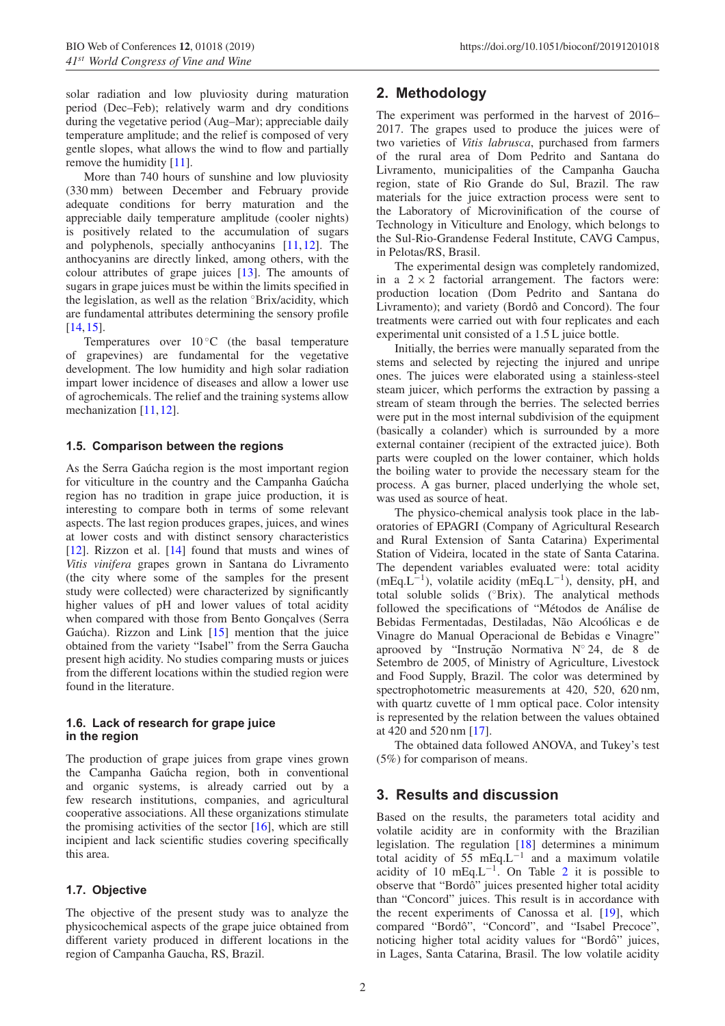solar radiation and low pluviosity during maturation period (Dec–Feb); relatively warm and dry conditions during the vegetative period (Aug–Mar); appreciable daily temperature amplitude; and the relief is composed of very gentle slopes, what allows the wind to flow and partially remove the humidity [\[11\]](#page-2-9).

More than 740 hours of sunshine and low pluviosity (330 mm) between December and February provide adequate conditions for berry maturation and the appreciable daily temperature amplitude (cooler nights) is positively related to the accumulation of sugars and polyphenols, specially anthocyanins [\[11](#page-2-9),[12\]](#page-2-10). The anthocyanins are directly linked, among others, with the colour attributes of grape juices [\[13](#page-2-11)]. The amounts of sugars in grape juices must be within the limits specified in the legislation, as well as the relation ◦Brix/acidity, which are fundamental attributes determining the sensory profile [\[14](#page-3-0),[15\]](#page-3-1).

Temperatures over  $10^{\circ}$ C (the basal temperature of grapevines) are fundamental for the vegetative development. The low humidity and high solar radiation impart lower incidence of diseases and allow a lower use of agrochemicals. The relief and the training systems allow mechanization [\[11](#page-2-9)[,12](#page-2-10)].

#### **1.5. Comparison between the regions**

As the Serra Gaucha region is the most important region for viticulture in the country and the Campanha Gaucha region has no tradition in grape juice production, it is interesting to compare both in terms of some relevant aspects. The last region produces grapes, juices, and wines at lower costs and with distinct sensory characteristics [\[12](#page-2-10)]. Rizzon et al. [\[14](#page-3-0)] found that musts and wines of *Vitis vinifera* grapes grown in Santana do Livramento (the city where some of the samples for the present study were collected) were characterized by significantly higher values of pH and lower values of total acidity when compared with those from Bento Gonçalves (Serra Gaúcha). Rizzon and Link  $[15]$  $[15]$  $[15]$  mention that the juice obtained from the variety "Isabel" from the Serra Gaucha present high acidity. No studies comparing musts or juices from the different locations within the studied region were found in the literature.

#### **1.6. Lack of research for grape juice in the region**

The production of grape juices from grape vines grown the Campanha Gaúcha region, both in conventional and organic systems, is already carried out by a few research institutions, companies, and agricultural cooperative associations. All these organizations stimulate the promising activities of the sector  $[16]$  $[16]$ , which are still incipient and lack scientific studies covering specifically this area.

#### **1.7. Objective**

The objective of the present study was to analyze the physicochemical aspects of the grape juice obtained from different variety produced in different locations in the region of Campanha Gaucha, RS, Brazil.

# **2. Methodology**

The experiment was performed in the harvest of 2016– 2017. The grapes used to produce the juices were of two varieties of *Vitis labrusca*, purchased from farmers of the rural area of Dom Pedrito and Santana do Livramento, municipalities of the Campanha Gaucha region, state of Rio Grande do Sul, Brazil. The raw materials for the juice extraction process were sent to the Laboratory of Microvinification of the course of Technology in Viticulture and Enology, which belongs to the Sul-Rio-Grandense Federal Institute, CAVG Campus, in Pelotas/RS, Brasil.

The experimental design was completely randomized, in a  $2 \times 2$  factorial arrangement. The factors were: production location (Dom Pedrito and Santana do Livramento); and variety (Bordô and Concord). The four treatments were carried out with four replicates and each experimental unit consisted of a 1.5 L juice bottle.

Initially, the berries were manually separated from the stems and selected by rejecting the injured and unripe ones. The juices were elaborated using a stainless-steel steam juicer, which performs the extraction by passing a stream of steam through the berries. The selected berries were put in the most internal subdivision of the equipment (basically a colander) which is surrounded by a more external container (recipient of the extracted juice). Both parts were coupled on the lower container, which holds the boiling water to provide the necessary steam for the process. A gas burner, placed underlying the whole set, was used as source of heat.

The physico-chemical analysis took place in the laboratories of EPAGRI (Company of Agricultural Research and Rural Extension of Santa Catarina) Experimental Station of Videira, located in the state of Santa Catarina. The dependent variables evaluated were: total acidity  $(mEq.L^{-1})$ , volatile acidity  $(mEq.L^{-1})$ , density, pH, and total soluble solids (◦Brix). The analytical methods followed the specifications of "Métodos de Análise de Bebidas Fermentadas, Destiladas, Não Alcoólicas e de Vinagre do Manual Operacional de Bebidas e Vinagre" aprooved by "Instrução Normativa  $N^{\circ}$  24, de 8 de Setembro de 2005, of Ministry of Agriculture, Livestock and Food Supply, Brazil. The color was determined by spectrophotometric measurements at 420, 520, 620 nm, with quartz cuvette of 1 mm optical pace. Color intensity is represented by the relation between the values obtained at 420 and 520 nm [\[17](#page-3-3)].

The obtained data followed ANOVA, and Tukey's test (5%) for comparison of means.

## **3. Results and discussion**

Based on the results, the parameters total acidity and volatile acidity are in conformity with the Brazilian legislation. The regulation [\[18](#page-3-4)] determines a minimum total acidity of 55 mEq.L−<sup>1</sup> and a maximum volatile acidity of 10 mEq.L<sup>-1</sup>. On Table [2](#page-2-12) it is possible to observe that "Bordô" juices presented higher total acidity than "Concord" juices. This result is in accordance with the recent experiments of Canossa et al. [\[19](#page-3-5)], which compared "Bordô", "Concord", and "Isabel Precoce", noticing higher total acidity values for "Bordô" juices, in Lages, Santa Catarina, Brasil. The low volatile acidity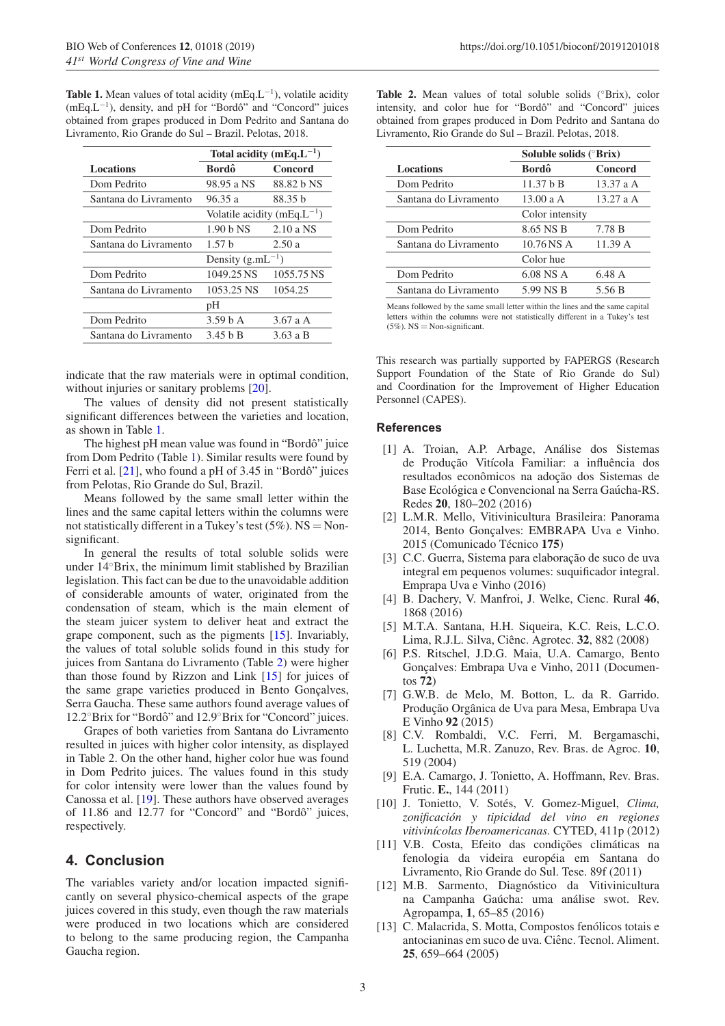<span id="page-2-13"></span>**Table 1.** Mean values of total acidity (mEq.L−1), volatile acidity (mEq.L−1), density, and pH for "Bordo" and "Concord" juices ˆ obtained from grapes produced in Dom Pedrito and Santana do Livramento, Rio Grande do Sul – Brazil. Pelotas, 2018.

|                       | Total acidity (mEq. $L^{-1}$ )    |            |
|-----------------------|-----------------------------------|------------|
| <b>Locations</b>      | Bordô                             | Concord    |
| Dom Pedrito           | 98.95 a NS                        | 88.82 b NS |
| Santana do Livramento | 96.35 a                           | 88.35 b    |
|                       | Volatile acidity (mEq. $L^{-1}$ ) |            |
| Dom Pedrito           | $1.90b$ NS                        | $2.10a$ NS |
| Santana do Livramento | 1.57h                             | 2.50a      |
|                       | Density $(g.mL^{-1})$             |            |
| Dom Pedrito           | 1049.25 NS                        | 1055.75 NS |
| Santana do Livramento | 1053.25 NS                        | 1054.25    |
|                       | pH                                |            |
| Dom Pedrito           | 3.59 <sub>b</sub> A               | 3.67aA     |
| Santana do Livramento | 3.45 h B                          | 3.63 a B   |

indicate that the raw materials were in optimal condition, without injuries or sanitary problems  $[20]$  $[20]$ .

The values of density did not present statistically significant differences between the varieties and location, as shown in Table [1.](#page-2-13)

The highest pH mean value was found in "Bordô" juice from Dom Pedrito (Table [1\)](#page-2-13). Similar results were found by Ferri et al.  $[21]$ , who found a pH of 3.45 in "Bordô" juices from Pelotas, Rio Grande do Sul, Brazil.

Means followed by the same small letter within the lines and the same capital letters within the columns were not statistically different in a Tukey's test  $(5\%)$ . NS = Nonsignificant.

In general the results of total soluble solids were under 14◦Brix, the minimum limit stablished by Brazilian legislation. This fact can be due to the unavoidable addition of considerable amounts of water, originated from the condensation of steam, which is the main element of the steam juicer system to deliver heat and extract the grape component, such as the pigments [\[15\]](#page-3-1). Invariably, the values of total soluble solids found in this study for juices from Santana do Livramento (Table [2\)](#page-2-12) were higher than those found by Rizzon and Link [\[15\]](#page-3-1) for juices of the same grape varieties produced in Bento Gonçalves, Serra Gaucha. These same authors found average values of 12.2°Brix for "Bordô" and 12.9°Brix for "Concord" juices.

Grapes of both varieties from Santana do Livramento resulted in juices with higher color intensity, as displayed in Table 2. On the other hand, higher color hue was found in Dom Pedrito juices. The values found in this study for color intensity were lower than the values found by Canossa et al. [\[19](#page-3-5)]. These authors have observed averages of 11.86 and 12.77 for "Concord" and "Bordô" juices, respectively.

## **4. Conclusion**

The variables variety and/or location impacted significantly on several physico-chemical aspects of the grape juices covered in this study, even though the raw materials were produced in two locations which are considered to belong to the same producing region, the Campanha Gaucha region.

<span id="page-2-12"></span>**Table 2.** Mean values of total soluble solids (◦Brix), color intensity, and color hue for "Bordô" and "Concord" juices obtained from grapes produced in Dom Pedrito and Santana do Livramento, Rio Grande do Sul – Brazil. Pelotas, 2018.

|                       | Soluble solids (°Brix) |         |
|-----------------------|------------------------|---------|
| <b>Locations</b>      | Bordô                  | Concord |
| Dom Pedrito           | 11.37 b B              | 13.37aA |
| Santana do Livramento | 13.00 a A              | 13.27aA |
|                       | Color intensity        |         |
| Dom Pedrito           | 8.65 NS B              | 7.78 B  |
| Santana do Livramento | $10.76$ NS A           | 11.39 A |
|                       | Color hue              |         |
| Dom Pedrito           | 6.08 NS A              | 6.48 A  |
| Santana do Livramento | 5.99 NS B              | 5.56 B  |

Means followed by the same small letter within the lines and the same capital letters within the columns were not statistically different in a Tukey's test  $(5\%)$ . NS = Non-significant.

This research was partially supported by FAPERGS (Research Support Foundation of the State of Rio Grande do Sul) and Coordination for the Improvement of Higher Education Personnel (CAPES).

#### <span id="page-2-0"></span>**References**

- [1] A. Troian, A.P. Arbage, Análise dos Sistemas de Produção Vitícola Familiar: a influência dos resultados econômicos na adoção dos Sistemas de Base Ecológica e Convencional na Serra Gaúcha-RS. Redes **20**, 180–202 (2016)
- <span id="page-2-2"></span>[2] L.M.R. Mello, Vitivinicultura Brasileira: Panorama 2014, Bento Gonçalves: EMBRAPA Uva e Vinho. 2015 (Comunicado Técnico 175)
- [3] C.C. Guerra, Sistema para elaboração de suco de uva integral em pequenos volumes: suquificador integral. Emprapa Uva e Vinho (2016)
- <span id="page-2-1"></span>[4] B. Dachery, V. Manfroi, J. Welke, Cienc. Rural **46**, 1868 (2016)
- <span id="page-2-3"></span>[5] M.T.A. Santana, H.H. Siqueira, K.C. Reis, L.C.O. Lima, R.J.L. Silva, Cienc. Agrotec. ˆ **32**, 882 (2008)
- <span id="page-2-4"></span>[6] P.S. Ritschel, J.D.G. Maia, U.A. Camargo, Bento Gonçalves: Embrapa Uva e Vinho, 2011 (Documentos **72**)
- <span id="page-2-5"></span>[7] G.W.B. de Melo, M. Botton, L. da R. Garrido. Produção Orgânica de Uva para Mesa, Embrapa Uva E Vinho **92** (2015)
- <span id="page-2-6"></span>[8] C.V. Rombaldi, V.C. Ferri, M. Bergamaschi, L. Luchetta, M.R. Zanuzo, Rev. Bras. de Agroc. **10**, 519 (2004)
- [9] E.A. Camargo, J. Tonietto, A. Hoffmann, Rev. Bras. Frutic. **E.**, 144 (2011)
- <span id="page-2-8"></span><span id="page-2-7"></span>[10] J. Tonietto, V. Sotés, V. Gomez-Miguel, *Clima*, *zonificacion y tipicidad del vino en regiones ´ vitivin´ıcolas Iberoamericanas.* CYTED, 411p (2012)
- <span id="page-2-9"></span>[11] V.B. Costa, Efeito das condições climáticas na fenologia da videira européia em Santana do Livramento, Rio Grande do Sul. Tese. 89f (2011)
- <span id="page-2-10"></span>[12] M.B. Sarmento, Diagnóstico da Vitivinicultura na Campanha Gaúcha: uma análise swot. Rev. Agropampa, **1**, 65–85 (2016)
- <span id="page-2-11"></span>[13] C. Malacrida, S. Motta, Compostos fenólicos totais e antocianinas em suco de uva. Ciênc. Tecnol. Aliment. **25**, 659–664 (2005)